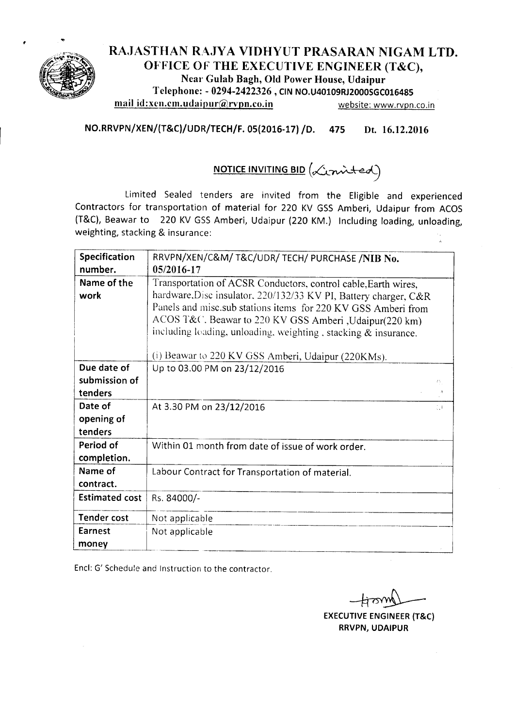

## RAJASTHAN RAJYA VIDHYUT PRASARAN NIGAM LTD. OFFICE OF THE EXECUTIVE ENGINEER (T&C), Near Gulab Bagh, Old Power House, Udaipur Telephone: - 0294-2422326 , CIN NO.U40109RJ2000SGC016485 mail id:xen.cm.udaipur@rvpn.co.in website: www.rvpn.co.in

NO.RRVPN/XEN/(T&C)/UDR/TECH/F. 05(2016-17) /D. 475 Dt. 16.12.2016

# NOTICE INVITING BID *(h.~~*

Limited Sealed tenders are invited from the Eligible and experienced Contractors for transportation of material for 220 KV GSS Amberi, Udaipur from ACOS (T&C), Beawar to 220 KV GSSAmberi, Udaipur (220 KM.) Including loading, unloading, weighting, stacking & insurance:

| Specification                                                 | RRVPN/XEN/C&M/ T&C/UDR/ TECH/ PURCHASE /NIB No.                   |  |  |  |  |  |
|---------------------------------------------------------------|-------------------------------------------------------------------|--|--|--|--|--|
| number.                                                       | 05/2016-17                                                        |  |  |  |  |  |
| Name of the                                                   | Transportation of ACSR Conductors, control cable, Earth wires,    |  |  |  |  |  |
| work                                                          | hardware, Disc insulator, 220/132/33 KV PI, Battery charger, C&R  |  |  |  |  |  |
| Panels and misc.sub stations items for 220 KV GSS Amberi from |                                                                   |  |  |  |  |  |
|                                                               | ACOS T&C. Beawar to 220 KV GSS Amberi, Udaipur(220 km)            |  |  |  |  |  |
|                                                               | including loading, unloading, weighting, stacking $\&$ insurance. |  |  |  |  |  |
|                                                               | (i) Beawar to 220 KV GSS Amberi, Udaipur (220KMs).                |  |  |  |  |  |
| Due date of                                                   | Up to 03.00 PM on 23/12/2016                                      |  |  |  |  |  |
| submission of                                                 | 75,                                                               |  |  |  |  |  |
| tenders                                                       |                                                                   |  |  |  |  |  |
| Date of                                                       |                                                                   |  |  |  |  |  |
|                                                               | At 3.30 PM on 23/12/2016<br>$\mathbb{C}^{\mathbb{C}}$             |  |  |  |  |  |
| opening of                                                    |                                                                   |  |  |  |  |  |
| tenders                                                       |                                                                   |  |  |  |  |  |
| Period of                                                     | Within 01 month from date of issue of work order.                 |  |  |  |  |  |
| completion.                                                   |                                                                   |  |  |  |  |  |
| Name of                                                       | Labour Contract for Transportation of material.                   |  |  |  |  |  |
| contract.                                                     |                                                                   |  |  |  |  |  |
| <b>Estimated cost</b>                                         | Rs. 84000/-                                                       |  |  |  |  |  |
| <b>Tender cost</b>                                            | Not applicable                                                    |  |  |  |  |  |
| <b>Earnest</b>                                                | Not applicable                                                    |  |  |  |  |  |
| money                                                         |                                                                   |  |  |  |  |  |

Encl: G' Schedule and Instruction to the contractor.

EXECUTIVE ENGINEER (T&C) RRVPN, UDAIPUR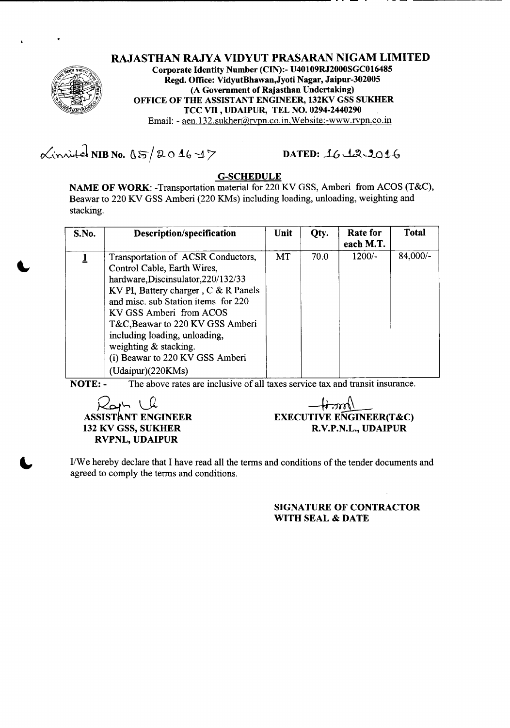

RAJASTHAN RAJYA VIDYUT PRASARAN NIGAM LIMITED Corporate Identity Number (CIN):- U40109RJ2000SGC016485 Regd. Office: VidyutBhawan,Jyoti Nagar, Jaipur-302005 (A Government of Rajasthan Undertaking) OFFICE OF THE ASSISTANT ENGINEER, 132KV GSS SUKHER TCC VII ,UDAIPUR, TEL NO. 0294-2440290 Email: - aen.132.sukher@rvpn.co.in,Website:-www.rvpn.co.in

 $\alpha$ inited NIB No.  $05/204647$ 

----~--------------------------------------------------- -- --

## DATED: 16 12.2016

#### G-SCHEDULE

NAME OF WORK: -Transportation material for 220 KV GSS, Amberi from ACOS (T&C), Beawar to 220 KV GSS Amberi (220 KMs) including loading, unloading, weighting and stacking.

| S.No. | Description/specification                                                                                                                                                                                                                                                                                                                                                | Unit      | Qty. | Rate for<br>each M.T. | <b>Total</b> |
|-------|--------------------------------------------------------------------------------------------------------------------------------------------------------------------------------------------------------------------------------------------------------------------------------------------------------------------------------------------------------------------------|-----------|------|-----------------------|--------------|
|       | Transportation of ACSR Conductors,<br>Control Cable, Earth Wires,<br>hardware, Discinsulator, 220/132/33<br>KV PI, Battery charger, C & R Panels<br>and misc. sub Station items for 220<br>KV GSS Amberi from ACOS<br>T&C, Beawar to 220 KV GSS Amberi<br>including loading, unloading,<br>weighting & stacking.<br>(i) Beawar to 220 KV GSS Amberi<br>(Udaipur)(220KMs) | <b>MT</b> | 70.0 | $1200/-$              | 84,000/-     |

NOTE: - The above rates are inclusive of all taxes service tax and transit insurance.

*Q~\"" \..\_\_Q* ASSISTANT ENGINEER 132 KV GSS, SUKHER RVPNL, UDAIPUR

 $\pm$ thm{ $\sim$ EXECUTIVE ENGINEER(T&C) R.V.P.N.L., UDAIPUR

IIWe hereby declare that I have read all the terms and conditions of the tender documents and agreed to comply the terms and conditions.

> SIGNATURE OF CONTRACTOR WITH SEAL & DATE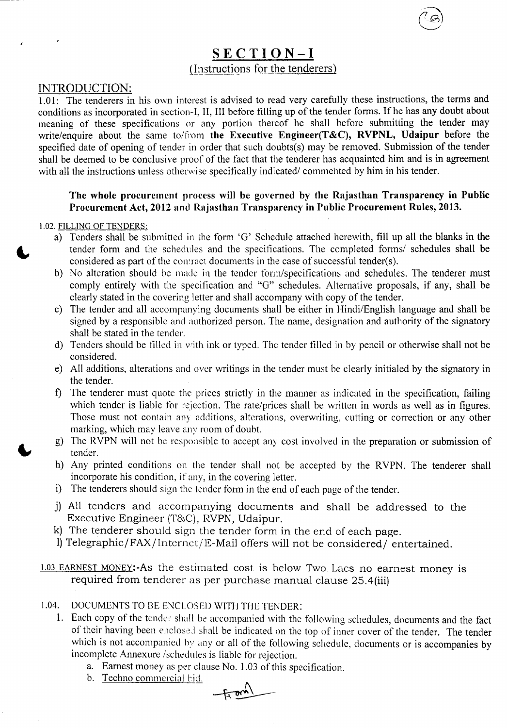## SECTION-I {Instructions for the tenderers)

#### INTRODUCTION:

1.01: The tenderers in his own interest is advised to read very carefully these instructions, the terms and conditions as incorporated in section-I, II, III before filling up of the tender forms. If he has any doubt about meaning of these specifications or any portion thereof he shall before submitting the tender may write/enquire about the same to/from the Executive Engineer(T&C), RVPNL, Udaipur before the specified date of opening of tender in order that such doubts(s) may be removed. Submission of the tender shall be deemed to be conclusive proof of the fact that the tenderer has acquainted him and is in agreement with all the instructions unless otherwise specifically indicated/ commented by him in his tender.

#### The whole procurement process will be governed by the Rajasthan Transparency in Public Procurement Act, 2012 and Rajasthan Transparency in Public Procurement Rules, 2013.

#### 1.02. FILLING OF TENDERS:

- a) Tenders shall be submitted in the form 'G' Schedule attached herewith, fill up all the blanks in the tender form and the schedules and the specifications. The completed forms/ schedules shall be considered as part of the contract documents in the case of successful tender(s).
- b) No alteration should be made in the tender form/specifications and schedules. The tenderer must comply entirely with the specification and "G" schedules. Alternative proposals, if any, shall be clearly stated in the covering letter and shall accompany with copy of the tender.
- c) The tender and all accompanying documents shall be either in Hindi/English language and shall be signed by a responsible and authorized person. The name, designation and authority of the signatory shall be stated in the tender.
- d) Tenders should be filled in with ink or typed. The tender filled in by pencil or otherwise shall not be considered.
- e) All additions, alterations and over writings in the tender must be clearly initialed by the signatory in the tender.
- f) The tenderer must quote the prices strictly in the manner as indicated in the specification, failing which tender is liable for rejection. The rate/prices shall be written in words as well as in figures. Those must not contain any additions, alterations, overwriting, cutting or correction or any other marking, which may leave any room of doubt.
- g) The RVPN will not be responsible to accept any cost involved in the preparation or submission of tender.
- h) Any printed conditions on the tender shall not be accepted by the RVPN. The tenderer shall incorporate his condition, if any, in the covering letter.
- i) The tenderers should sign the tender form in the end of each page of the tender.
- j) All tenders and accompanying documents and shall be addressed to the Executive Engineer (T&C), RVPN, Udaipur.
- k) The tenderer should sign the tender form in the end of each page.
- l) Telegraphic/FAX/Internet/E-Mail offers will not be considered/ entertained.
- 1.03 EARNEST MONEY:-As the estimated cost is below Two. Lacs no earnest money is required from tenderer as per purchase manual clause 25.4(iii)

## 1.04. DOCUMENTS TO BE ENCLOSED WITH THE TENDER:

- 1. Each copy of the tender shall be accompanied with the following schedules, documents and the fact of their having been enclosed shall be indicated on the top of inner cover of the tender. The tender which is not accompanied by any or all of the following schedule, documents or is accompanies by incomplete Annexure /schcdules is liable for rejection.
	- a. Earnest money as per clause No. 1.03 of this specification.
	- b. Techno commercial bid.

 $+20$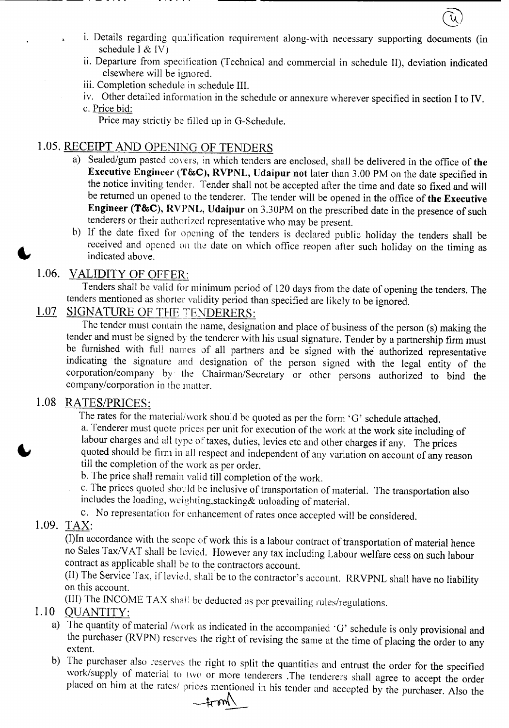- i. Details regarding qualification requirement along-with necessary supporting documents (in schedule I  $&$  IV)
- ii. Departure from specification (Technical and commercial in schedule II), deviation indicated elsewhere will be ignored.
- iii. Completion schedule in schedule III.
- iv. Other detailed information in the schedule or annexure wherever specified in section I to IV. c. Price bid:
	- Price may strictly be filled up in O-Schedule.

## 1.05. RECEIPT AND OPENING OF TENDERS

- a) Sealed/gum pasted covers, in which tenders are enclosed, shall be delivered in the office of the Executive Engineer (T&C), RVPNL, Udaipur not later than 3.00 PM on the date specified in the notice inviting tender. Tender shall not be accepted after the time and date so fixed and will be returned un opened to the tenderer. The tender will be opened in the office of the Executive Engineer (T&C), RVPNL, Udaipur on 3.30PM on the prescribed date in the presence of such tenderers or their authorized representative who may be present.
- b) If the date fixed for opening of the tenders is declared public holiday the tenders shall be received and opened on the date on which office reopen after such holiday on the timing as indicated above.

# 1.06. VALIDITY OF OFFER:

Tenders shall be valid for minimum period of 120 days from the date of opening the tenders. The tenders mentioned as shorter validity period than specified are likely to be ignored.

# 1.07 SIGNATURE OF THE TENDERERS:

The tender must contain the name, designation and place of business of the person (s) making the tender and must be signed by the tenderer with his usual signature. Tender by a partnership firm must be furnished with full names of all partners and be signed with the authorized representative indicating the signature and designation of the person signed with the legal entity of the corporation/company by the Chairman/Secretary or other persons authorized to bind the company/corporation in the matter.

## 1.08 RATES/PRICES:

The rates for the material/work should be quoted as per the form 'G' schedule attached. a. Tenderer must quote prices per unit for execution of the work at the work site including of labour charges and all type of taxes, duties, levies etc and other charges if any. The prices quoted should be firm in all respect and independent of any variation on account of any reason till the completion of the work as per order.

b. The price shall remain valid till completion of the work.

c. The prices quoted should be inclusive of transportation of material. The transportation also includes the loading, weighting,stacking& unloading of material.

c. No representation for enhancement of rates once accepted will be considered.

## 1.09. TAX:

-<del>-------</del> - - - - -

 $\overline{(I)}$ In accordance with the scope of work this is a labour contract of transportation of material hence no Sales Tax/V AT shall be levied. However any tax including Labour welfare cess on such labour contract as applicable shall be to the contractors account.

(II) The Service Tax, if levied, shall be to the contractor's account. RRVPNL shall have no liability on this account.

(III) The INCOME TAX shall be deducted as per prevailing rules/regulations.

## 1.10 QUANTITY:

- a) The quantity of material /work as indicated in the accompanied 'G' schedule is only provisional and the purchaser (RVPN) reserves the right of revising the same at the time of placing the order to any extent.
- b) The purchaser also reserves the right to split the quantities and entrust the order for the specified work/supply of material to two or more tenderers .The tenderers shall agree to accept the order placed on him at the rates/ prices mentioned in his tender and accepted by the purchaser. Also the

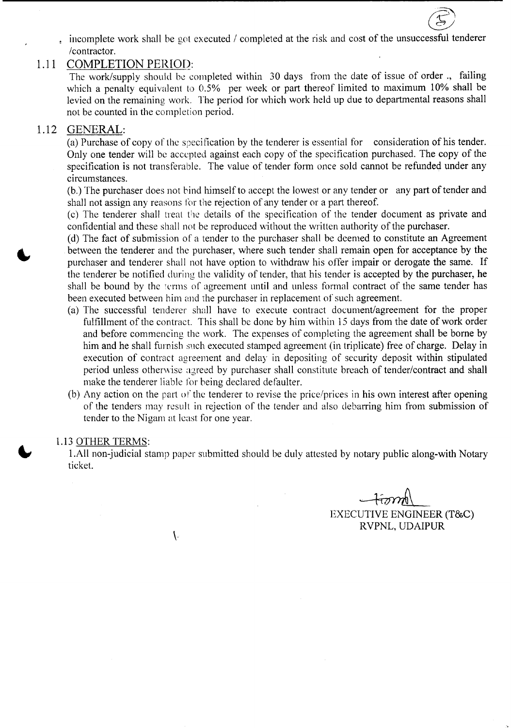incomplete work shall be got executed / completed at the risk and cost of the unsuccessful tenderer *Icontractor.*

#### 1.11 COMPLETION PERIOD:

The work/supply should be completed within 30 days from the date of issue of order., failing which a penalty equivalent to 0.5% per week or part thereof limited to maximum 10% shall be levied on the remaining work. The period for which work held up due to departmental reasons shall not be counted in the completion period.

#### 1.12 GENERAL:

(a) Purchase of copy 0f the speci fication by the tenderer is essential for consideration of his tender. Only one tender will be accepted against each copy of the specification purchased. The copy of the specification is not transferable. The value of tender form once sold cannot be refunded under any circumstances.

(b.) The purchaser does not bind himself to accept the lowest or any tender or any part of tender and shall not assign any reasons for the rejection of any tender or a part thereof.

(c) The tenderer shall treat the details of the specification of the tender document as private and confidential and these shall not be reproduced without the written authority of the purchaser.

(d) The fact of submission of a tender to the purchaser shall be deemed to constitute an Agreement between the tenderer and the purchaser, where such tender shall remain open for acceptance by the purchaser and tenderer shall not have option to withdraw his offer impair or derogate the same. If the tenderer be notified during the validity of tender, that his tender is accepted by the purchaser, he shall be bound by the terms of agreement until and unless formal contract of the same tender has been executed between him and the purchaser in replacement of such agreement.

- (a) The successful tenderer shall have to execute contract document/agreement for the proper fulfillment of the contract. This shall be done by him within 15 days from the date of work order and before commencing the work. The expenses of completing the agreement shall be borne by him and he shall furnish such executed stamped agreement (in triplicate) free of charge. Delay in execution of contract agreement and delay in depositing of security deposit within stipulated period unless otherwise agreed by purchaser shall constitute breach of tender/contract and shall make the tenderer liable for being declared defaulter.
- (b) Any action on the part of the tenderer to revise the price/prices in his own interest after opening of the tenders may result in rejection of the tender and also debarring him from submission of tender to the Nigam at least for one year.

#### 1.13 OTHER TERMS:

1.All non-judicial stamp paper submitted should be duly attested by notary public along-with Notary ticket.

*चित्रा* कै ~ EXECUTIVE ENGINEER (T&C) RVPNL, UDAIPUR

@

 $\overline{\phantom{a}}$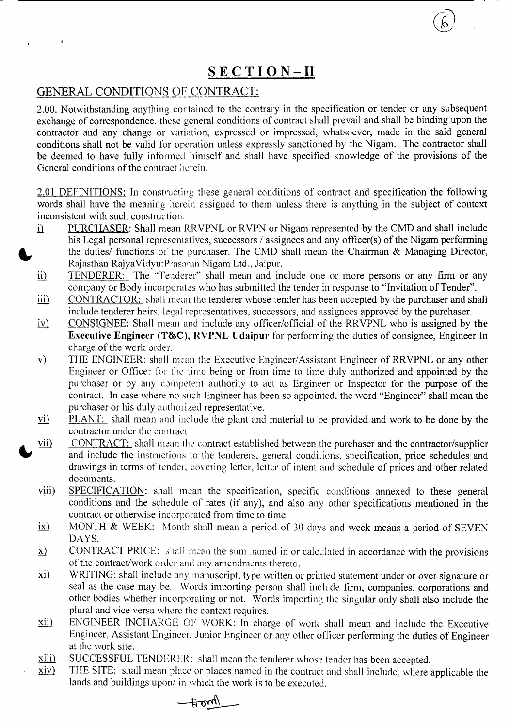# **SECTION-II**

#### GENERAL CONDITIONS OF CONTRACT:

2.00. Notwithstanding anything contained to the contrary in the specification or tender or any subsequent exchange of correspondence, these general conditions of contract shall prevail and shall be binding upon the contractor and any change or variation, expressed or impressed, whatsoever, made in the said general conditions shall not be valid for operation unless expressly sanctioned by the Nigam. The contractor shall be deemed to have fully informed himself and shall have specified knowledge of the provisions of the General conditions of the contract herein.

2.01 DEFINITIONS: In constructing these general conditions of contract and specification the following words shall have the meaning herein assigned to them unless there is anything in the subject of context inconsistent with such construction.

- PURCHASER: Shall mean RRVPNL or RVPN or Nigam represented by the CMD and shall include  $\mathbf{i}$ his Legal personal representatives, successors / assignees and any officer(s) of the Nigam performing the duties/ functions of the purchaser. The CMD shall mean the Chairman & Managing Director, Rajasthan Rajya Vidyut Prasaran Nigam Ltd., Jaipur.
- ii) TENDERER: The "Tenderer" shall mean and include one or more persons or any firm or any company or Body incorporates who has submitted the tender in response to "Invitation of Tender".
- iii) CONTRACTOR: shall mean the tenderer whose tender has been accepted by the purchaser and shall include tenderer heirs, legal representatives, successors, and assignees approved by the purchaser.
- CONSIGNEE: Shall mean and include any officer/official of the RRVPNL who is assigned by **the**  $\underline{\text{i}\text{v}}$ Executive Engineer (T&C), RVPNL Udaipur for performing the duties of consignee, Engineer In charge of the work order.
- THE ENGINEER: shall mean the Executive Engineer/Assistant Engineer of RRVPNL or any other  $\underline{v}$ Engineer or Officer for the time being or from time to time duly authorized and appointed by the purchaser or by any competent authority to act as Engineer or Inspector for the purpose of the contract. In case where no such Engineer has been so appointed, the word "Engineer" shall mean the purchaser or his duly authorized representative.
- PLANT: shall mean and include the plant and material to be provided and work to be done by the  $\overline{vi}$ contractor under the contract.
- CONTRACT: shall mean the contract established between the purchaser and the contractor/supplier  $vii)$ and include the instructions to the tenderers, general conditions, specification, price schedules and drawings in terms of tender, covering letter, letter of intent and schedule of prices and other related documents.
- viii) SPECIFICATION: shall mean the specification, specific conditions annexed to these general conditions and the schedule of rates (if any), and also any other specifications mentioned in the contract or otherwise incorporated from time to time.
- MONTH & WEEK: Month shall mean a period of 30 days and week means a period of SEVEN  $\mathbf{i}(\mathbf{x})$ DAYS.
- CONTRACT PRICE: shall mean the sum named in or calculated in accordance with the provisions  $\mathbf{x}$ of the contract/work order and any amendments thereto.
- $\overline{xi}$ WRITING: shall include any manuscript, type written or printed statement under or over signature or seal as the case may be. Words importing person shall include firm, companies, corporations and other bodies whether incorporating or not. Words importing the singular only shall also include the plural and vice versa where the context requires.
- $\overline{x}$ ii) ENGINEER INCHARGE OF WORK: In charge of work shall mean and include the Executive Engineer, Assistant Engineer, Junior Engineer or any other officer performing the duties of Engineer at the work site.
- xiii) SUCCESSFUL TENDERER: shall mean the tenderer whose tender has been accepted.
- xiv) THE SITE: shall mean place or places named in the contract and shall include, where applicable the lands and buildings upon/ in which the work is to be executed.

 $+$ oml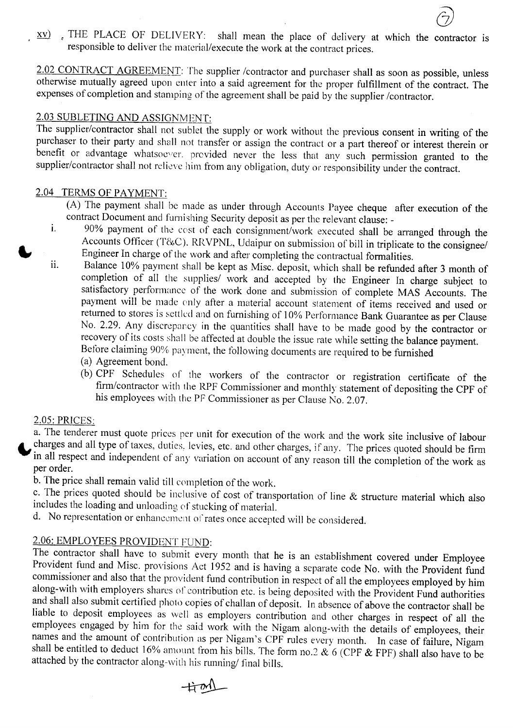xv). THE PLACE OF DELIVERY: shall mean the place of delivery at which the contractor is responsible to deliver the material/execute the work at the contract prices.

2.02 CONTRACT AGREEMENT: The supplier /contractor and purchaser shall as soon as possible, unless otherwise mutually agreed upon enter into a said agreement for the proper fulfillment of the contract. The expenses of completion and stamping of the agreement shall be paid by the supplier /contractor.

#### 2.03 SUBLETING AND ASSIGNMENT:

The supplier/contractor shall not sublet the supply or work without the previous consent in writing of the purchaser to their party and shall not transfer or assign the contract or a part thereof or interest therein or benefit or advantage whatsoever. provided never the less that any such permission granted to the supplier/contractor shall not relieve him from any obligation, duty or responsibility under the contract.

#### 2.04 TERMS OF PAYMENT:

- *(A)* The payment shall be made as under through Accounts Payee cheque after execution of the contract Document and furnishing Security deposit as per the relevant clause: -
- 1. 90% payment of the cost of each consignment/work executed shall be arranged through the Accounts Officer (T&C). RRVPNL, Udaipur on submission of bill in triplicate to the consignee/ Engineer In charge of the work and after completing the contractual formalities.
- 11. Balance 10% payment shall be kept as Misc. deposit, which shall be refunded after 3 month of completion of all the supplies/ work and accepted by the Engineer In charge subject to satisfactory performance of the work done and submission of complete MAS Accounts. The payment will be made only after a material account statement of items received and used or returned to stores is settled and on furnishing of 10% Performance Bank Guarantee as per Clause No. 2.29. Any discrepancy in the quantities shall have to be made good by the contractor or recovery of its costs shall be affected at double the issue rate while setting the balance payment. Before claiming 90% payment, the following documents are required to be furnished
	- (a) Agreement bond.
	- (b) CPF Schedules of the workers of the contractor or registration certificate of the firm/contractor with the RPF Commissioner and monthly statement of depositing the CPF of his employees with the PF Commissioner as per Clause No. 2.07.

#### 2.05: PRICES:

a. The tenderer must quote prices per unit for execution of the work and the work site inclusive of labour charges and all type of taxes, duties, levies, etc. and other charges, if any. The prices quoted should be firm in all respect and independent of any variation on account of any reason till the completion of the work as per order.

b. The price shall remain valid till completion of the work.

c. The prices quoted should be inclusive of cost of transportation of line & structure material which also includes the loading and unloading of stucking of material.

d. No representation or enhancement of rates once accepted will be considered.

## 2.06: EMPLOYEES PROVIDENT FUND:

The contractor shall have to submit every month that he is an establishment covered under Employee Provident fund and Misc. provisions Act 1952 and is having a separate code No. with the Provident fund commissioner and also that the provident fund contribution in respect of all the employees employed by him along-with with employers shares of contribution etc. is being deposited with the Provident Fund authorities and shall also submit certified photo copies of challan of deposit. In absence of above the contractor shall be liable to deposit employees as well as employers contribution and other charges in respect of all the employees engaged by him for the said work with the Nigam along-with the details of employees, their names and the amount of contribution as per Nigam's CPF rules every month. In case of failure, Nigam shall be entitled to deduct 16% amount from his bills. The form no.2  $\&$  6 (CPF  $&$  FPF) shall also have to be attached by the contractor along-with his running/ final bills.

 $\pm m$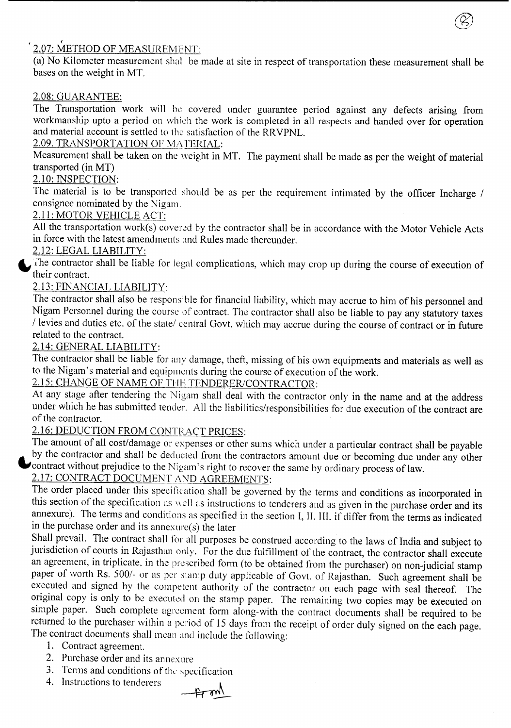### , <u>2.07: METHOD OF MEASUREMENT</u>

(a) No Kilometer measurement shall be made at site in respect of transportation these measurement shall be bases on the weight in MT.

®

## 2.08: GUARANTEE:

The Transportation work will be covered under guarantee period against any defects arising from workmanship upto a period on which the work is completed in all respects and handed over for operation and material account is settled to the satisfaction of the RRVPNL.

### 2.09. TRANSPORTATION OF MATERIAL:

Measurement shall be taken on the weight in MT. The payment shall be made as per the weight of material transported (in MT)

## 2.10: INSPECTION:

The material is to be transported should be as per the requirement intimated by the officer Incharge *I* consignee nominated by the Nigam.

### 2.11: MOTOR VEHICLE ACT:

All the transportation work(s) covered by the contractor shall be in accordance with the Motor Vehicle Acts in force with the latest amendments and Rules made thereunder.

#### 2.12: LEGAL LIABILITY:

The contractor shall be liable for legal complications, which may crop up during the course of execution of their contract.

## 2.13: FINANCIAL LIABILITY:

The contractor shall also be responsible for financial liability, which may accrue to him of his personnel and Nigam Personnel during the course of contract. The contractor shall also be liable to pay any statutory taxes / levies and duties etc. of the state/ central Govt. which may accrue during the course of contract or in future related to the contract.

#### 2.14: GENERAL LIABILITY:

The contractor shall be liable for any damage, theft, missing of his own equipments and materials as well as to the Nigam's material and equipmcnts during the course of execution of the work.

# 2.15: CHANGE OF NAME OF THE TENDERER/CONTRACTOR:

At any stage after tendering the Nigam shall deal with the contractor only in the name and at the address under which he has submitted tender. All the liabilities/responsibilities for due execution of the contract are of the contractor.

## 2.16: DEDUCTION FROM CONTRACT PRICES:

The amount of all cost/damage or expenses or other sums which under a particular contract shall be payable by the contractor and shall be deducted from the contractors amount due or becoming due under any other contract without prejudice to the Nigam's right to recover the same by ordinary process of law.

# 2.17: CONTRACT DOCUMENT AND AGREEMENTS:

The order placed under this specification shall be governed by the terms and conditions as incorporated in this section of the specification as well us instructions to tenderers and as given in the purchase order and its annexure). The terms and conditions as specified in the section I, II. III, if differ from the terms as indicated in the purchase order and its annexure(s) the later

Shall prevail. The contract shall for all purposes be construed according to the laws of India and subject to jurisdiction of courts in Rajasthan only. For the due fulfillment of the contract, the contractor shall execute an agreement, in triplicate. in the prescribed form (to be obtained from the purchaser) on non-judicial stamp paper of worth Rs. 500/- or as per stamp duty applicable of Govt. of Rajasthan. Such agreement shall be executed and signed by the competent authority of the contractor on each page with seal thereof. The original copy is only to be executed on the stamp paper. The remaining two copies may be executed on simple paper. Such complete agreement form along-with the contract documents shall be required to be returned to the purchaser within a period of 15 days from the receipt of order duly signed on the each page. The contract documents shall mean and include the following:

- 1. Contract agreement.
- 2. Purchase order and its annexure
- 3. Terms and conditions of the specification
- 4. Instructions to tenderers

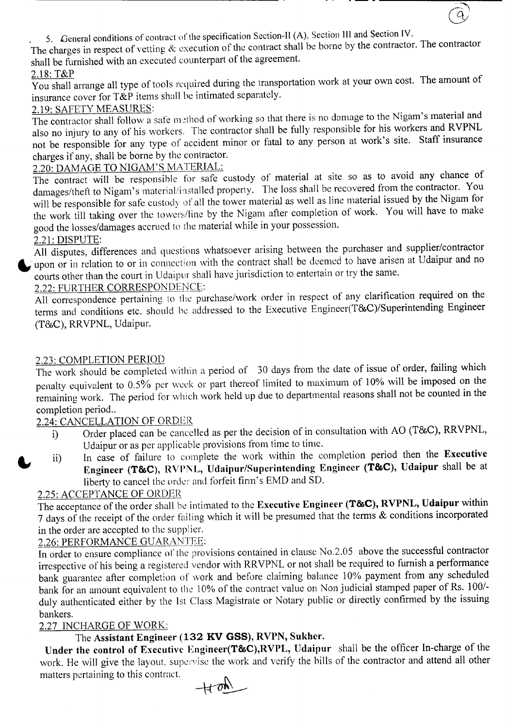, 5. General conditions of contract of the specification Section-II(A), Section III and Section IV.

The charges in respect of vetting  $\&$  execution of the contract shall be borne by the contractor. The contractor shall be furnished with an executed counterpart of the agreement.

# 2.18: T&P

You shall arrange all type of tools required during the transportation work at your own cost. The amount of insurance cover for T&P items shall be intimated separately.

## 2.19: SAFETY MEASURES:

The contractor shall follow a safe method of working so that there is no damage to the Nigam's material and also no injury to any of his workers. The contractor shall be fully responsible for his workers and RVPNL not be responsible for any type of accident minor or fatal to any person at work's site. Staff insurance charges if any, shall be borne by the contractor.

2.20: DAMAGE TO NIGAM'S MATERIAL:

The contract will be responsible for safe custody of material at site so as to avoid any chance of damages/theft to Nigam's material/installed property. The loss shall be recovered from the contractor. You will be responsible for safe custody of all the tower material as well as line material issued by the Nigam for the work till taking over the towers/line by the Nigam after completion of work. You will have to make good the losses/damages accrued to the material while in your possession.

## 2.21: DISPUTE:

All disputes, differences and questions whatsoever arising between the purchaser and supplier/contractor when or in relation to or in connection with the contract shall be deemed to have arisen at Udaipur and no courts other than the court in Udaipur shall have jurisdiction to entertain or try the same.

## 2.22: FURTHER CORRESPONDENCE:

All correspondence pertaining to the purchase/work order in respect of any clarification required on the terms and conditions etc. should be addressed to the Executive Engineer(T&C)/Superintending Engineer (T&C), RRVPNL, Udaipur.

#### 2.23: COMPLETION PERIOD

The work should be completed within a period of 30 days from the date of issue of order, failing which penalty equivalent to 0.5% per week or part thereof limited to maximum of 10% will be imposed on the remaining work. The period for which work held up due to departmental reasons shall not be counted in the completion period..

#### 2.24: CANCELLATION OF ORDER

- i) Order placed can be cancelled as per the decision of in consultation with AO (T&C), RRVPNL, Udaipur or as per applicable provisions from time to time.
- ii) In case of failure to complete the work within the completion period then the Executive Engineer (T&C), RVPNL, Udaipur/Superintending Engineer (T&C), Udaipur shall be at liberty to cancel the order and forfeit finn's EMD and SO.

#### 2.25: ACCEPTANCE OF ORDER

The acceptance of the order shall be intimated to the Executive Engineer (T&C), RVPNL, Udaipur within 7 days of the receipt of the order failing which it will be presumed that the terms & conditions incorporated in the order are accepted to the supplier.

## 2.26: PERFORMANCE GUARANTEE:

In order to ensure compliance of the provisions contained in clause No.2.05 above the successful contractor irrespective of his being a registered vendor with RRVPNL or not shall be required to furnish a performance bank guarantee after completion of work and before claiming balance 10% payment from any scheduled bank for an amount equivalent to the 10% of the contract value on Non judicial stamped paper of Rs. 100/ duly authenticated either by the 1st Class Magistrate or Notary public or directly confirmed by the issuing bankers.

#### 2.27 INCHARGE OF WORK:

## The Assistant Engineer (132 KV GSS), RVPN, Sukher.

Under the control of Executive Engineer(T&C),RVPL, Udaipur shall be the officer In-charge of the work. He will give the layout, supervise the work and verify the bills of the contractor and attend all other matters pertaining to this contract.

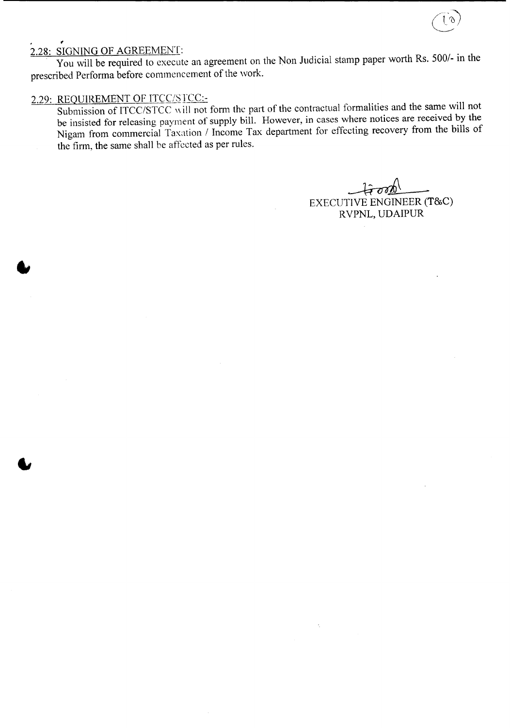# 2.28: SIGNING OF AGREEMENT:

You will be required to execute an agreement on the Non Judicial stamp paper worth Rs. 500/- in the prescribed Performa before commencement of the work.

## 2.29: REQUIREMENT OF ITCC/SICC:-

Submission of ITCC/STCC will not form the part of the contractual formalities and the same will not be insisted for releasing payment of supply bill. However, in cases where notices are received by the Nigam from commercial Taxation / Income Tax department for effecting recovery from the bills of the firm, the same shall be affected as per rules.

 $\hat{\text{H}}$ on $\hat{\text{D}}$ ~ EXECUTIVE ENGINEER (T&C) RVPNL, UDAIPUR

V